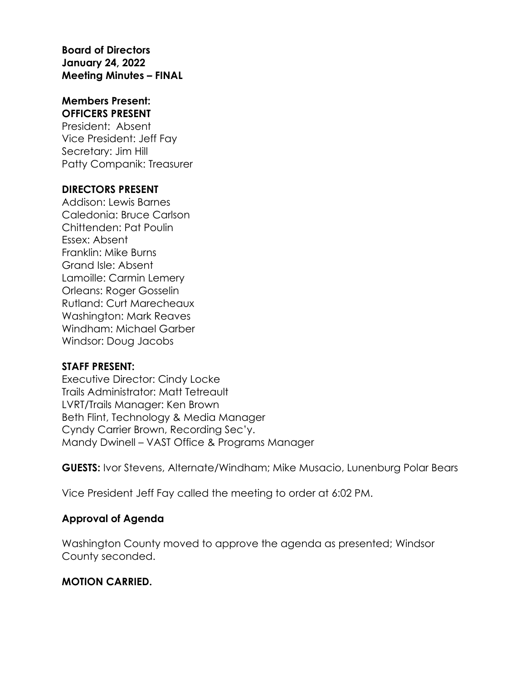**Board of Directors January 24, 2022 Meeting Minutes – FINAL**

#### **Members Present: OFFICERS PRESENT**

President: Absent Vice President: Jeff Fay Secretary: Jim Hill Patty Companik: Treasurer

#### **DIRECTORS PRESENT**

Addison: Lewis Barnes Caledonia: Bruce Carlson Chittenden: Pat Poulin Essex: Absent Franklin: Mike Burns Grand Isle: Absent Lamoille: Carmin Lemery Orleans: Roger Gosselin Rutland: Curt Marecheaux Washington: Mark Reaves Windham: Michael Garber Windsor: Doug Jacobs

# **STAFF PRESENT:**

Executive Director: Cindy Locke Trails Administrator: Matt Tetreault LVRT/Trails Manager: Ken Brown Beth Flint, Technology & Media Manager Cyndy Carrier Brown, Recording Sec'y. Mandy Dwinell – VAST Office & Programs Manager

**GUESTS:** Ivor Stevens, Alternate/Windham; Mike Musacio, Lunenburg Polar Bears

Vice President Jeff Fay called the meeting to order at 6:02 PM.

# **Approval of Agenda**

Washington County moved to approve the agenda as presented; Windsor County seconded.

# **MOTION CARRIED.**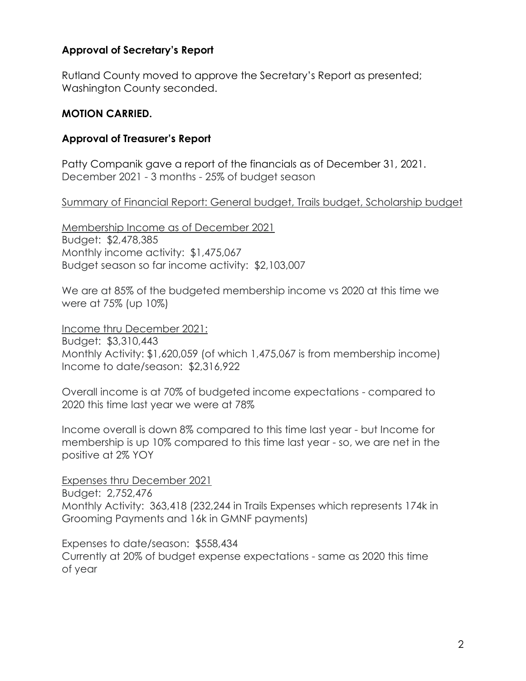#### **Approval of Secretary's Report**

Rutland County moved to approve the Secretary's Report as presented; Washington County seconded.

#### **MOTION CARRIED.**

#### **Approval of Treasurer's Report**

Patty Companik gave a report of the financials as of December 31, 2021. December 2021 - 3 months - 25% of budget season

#### Summary of Financial Report: General budget, Trails budget, Scholarship budget

Membership Income as of December 2021 Budget: \$2,478,385 Monthly income activity: \$1,475,067 Budget season so far income activity: \$2,103,007

We are at 85% of the budgeted membership income vs 2020 at this time we were at 75% (up 10%)

Income thru December 2021: Budget: \$3,310,443 Monthly Activity: \$1,620,059 (of which 1,475,067 is from membership income) Income to date/season: \$2,316,922

Overall income is at 70% of budgeted income expectations - compared to 2020 this time last year we were at 78%

Income overall is down 8% compared to this time last year - but Income for membership is up 10% compared to this time last year - so, we are net in the positive at 2% YOY

Expenses thru December 2021 Budget: 2,752,476 Monthly Activity: 363,418 (232,244 in Trails Expenses which represents 174k in Grooming Payments and 16k in GMNF payments)

Expenses to date/season: \$558,434 Currently at 20% of budget expense expectations - same as 2020 this time

of year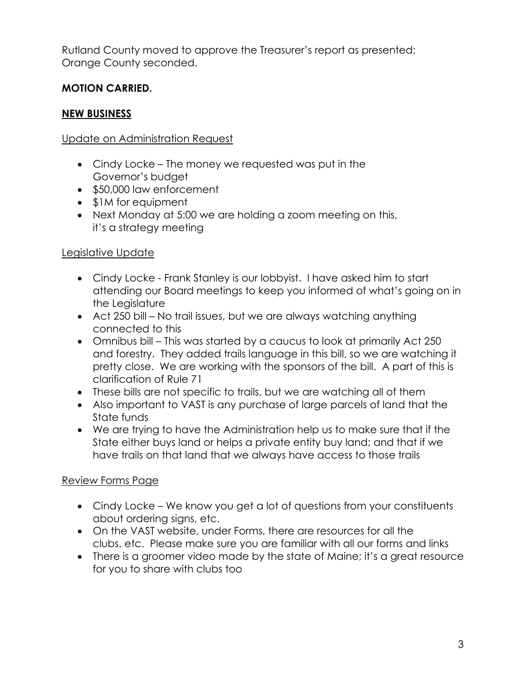Rutland County moved to approve the Treasurer's report as presented; Orange County seconded.

# **MOTION CARRIED.**

# **NEW BUSINESS**

# Update on Administration Request

- Cindy Locke The money we requested was put in the Governor's budget
- \$50,000 law enforcement
- \$1M for equipment
- Next Monday at 5:00 we are holding a zoom meeting on this, it's a strategy meeting

# Legislative Update

- Cindy Locke Frank Stanley is our lobbyist. I have asked him to start attending our Board meetings to keep you informed of what's going on in the Leaislature
- Act 250 bill No trail issues, but we are always watching anything connected to this
- Omnibus bill This was started by a caucus to look at primarily Act 250 and forestry. They added trails language in this bill, so we are watching it pretty close. We are working with the sponsors of the bill. A part of this is clarification of Rule 71
- These bills are not specific to trails, but we are watching all of them
- Also important to VAST is any purchase of large parcels of land that the State funds
- We are trying to have the Administration help us to make sure that if the State either buys land or helps a private entity buy land; and that if we have trails on that land that we always have access to those trails

# Review Forms Page

- Cindy Locke We know you get a lot of questions from your constituents about ordering signs, etc.
- On the VAST website, under Forms, there are resources for all the clubs, etc. Please make sure you are familiar with all our forms and links
- There is a groomer video made by the state of Maine; it's a great resource for you to share with clubs too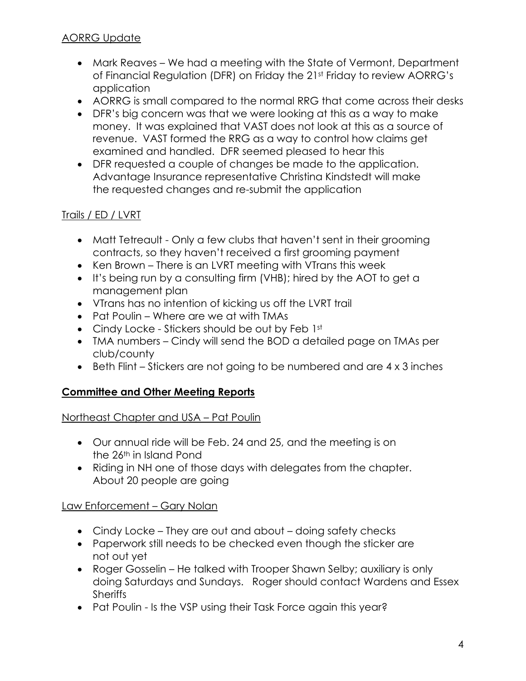# AORRG Update

- Mark Reaves We had a meeting with the State of Vermont, Department of Financial Regulation (DFR) on Friday the 21st Friday to review AORRG's application
- AORRG is small compared to the normal RRG that come across their desks
- DFR's big concern was that we were looking at this as a way to make money. It was explained that VAST does not look at this as a source of revenue. VAST formed the RRG as a way to control how claims get examined and handled. DFR seemed pleased to hear this
- DFR requested a couple of changes be made to the application. Advantage Insurance representative Christina Kindstedt will make the requested changes and re-submit the application

#### Trails / ED / LVRT

- Matt Tetreault Only a few clubs that haven't sent in their grooming contracts, so they haven't received a first grooming payment
- Ken Brown There is an LVRT meeting with VTrans this week
- It's being run by a consulting firm (VHB); hired by the AOT to get a management plan
- VTrans has no intention of kicking us off the LVRT trail
- Pat Poulin Where are we at with TMAs
- Cindy Locke Stickers should be out by Feb 1st
- TMA numbers Cindy will send the BOD a detailed page on TMAs per club/county
- Beth Flint Stickers are not going to be numbered and are 4 x 3 inches

# **Committee and Other Meeting Reports**

Northeast Chapter and USA – Pat Poulin

- Our annual ride will be Feb. 24 and 25, and the meeting is on the 26<sup>th</sup> in Island Pond
- Riding in NH one of those days with delegates from the chapter. About 20 people are going

# Law Enforcement – Gary Nolan

- Cindy Locke They are out and about doing safety checks
- Paperwork still needs to be checked even though the sticker are not out yet
- Roger Gosselin He talked with Trooper Shawn Selby; auxiliary is only doing Saturdays and Sundays. Roger should contact Wardens and Essex **Sheriffs**
- Pat Poulin Is the VSP using their Task Force again this year?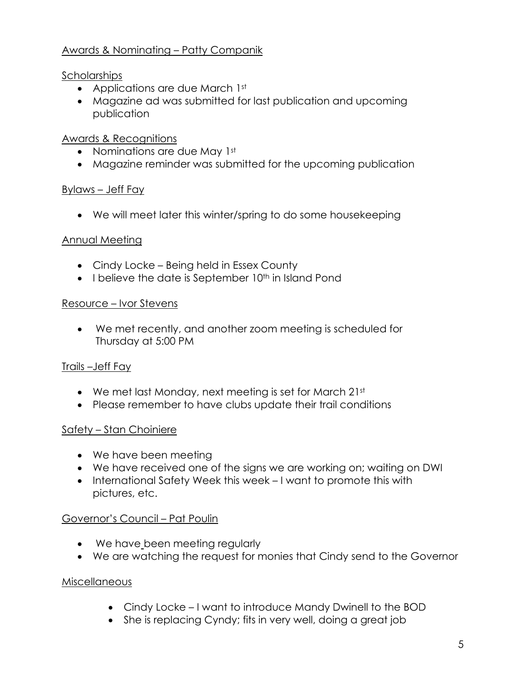## Awards & Nominating – Patty Companik

#### Scholarships

- Applications are due March 1st
- Magazine ad was submitted for last publication and upcoming publication

#### Awards & Recognitions

- Nominations are due May 1st
- Magazine reminder was submitted for the upcoming publication

#### Bylaws – Jeff Fay

• We will meet later this winter/spring to do some housekeeping

#### Annual Meeting

- Cindy Locke Being held in Essex County
- $\bullet$  I believe the date is September 10<sup>th</sup> in Island Pond

#### Resource – Ivor Stevens

• We met recently, and another zoom meeting is scheduled for Thursday at 5:00 PM

# Trails –Jeff Fay

- We met last Monday, next meeting is set for March 21st
- Please remember to have clubs update their trail conditions

# Safety – Stan Choiniere

- We have been meeting
- We have received one of the signs we are working on; waiting on DWI
- International Safety Week this week I want to promote this with pictures, etc.

# Governor's Council – Pat Poulin

- We have been meeting regularly
- We are watching the request for monies that Cindy send to the Governor

#### **Miscellaneous**

- Cindy Locke I want to introduce Mandy Dwinell to the BOD
- She is replacing Cyndy; fits in very well, doing a great job